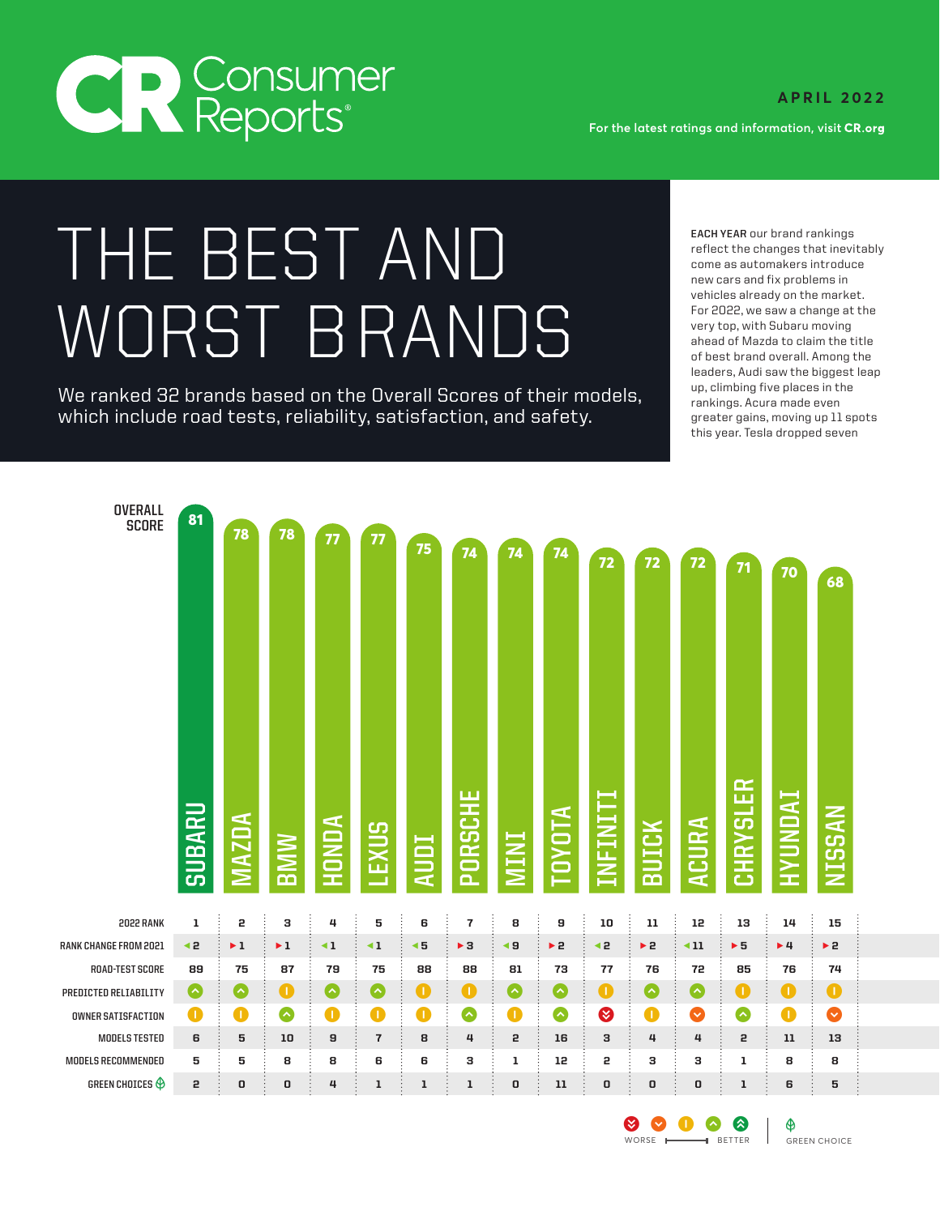

**OVERALL** 

**For the latest ratings and information, visit** 

## FARE BEST AND EXPERIMENT COMES TO THE BEST ARE TO THE CONTROLL COMES ARE OUTDER OUTDER OUTDER OUTDER OUTDER OUTDER OUTDER OUTDER OUTDER OUTDER OUTDER OUTDER OUTDER OUTDER OUTDER OUTDER SUIT OUTDER OUTDER OUTDER OUTDER OUT For 2022, we saw a change at the<br>Very top, with Subaru moving<br>of hest hrand overall. Among the

We ranked 32 brands based on the Overall Scores of their models,  $\frac{up, climbing\ five\ places\ in\ the}{rankings. Acura\ made\ even}$ which include road tests, reliability, satisfaction, and safety. The greater gains, moving up 11 spots

**EACH YEAR** our brand rankings new cars and fix problems in vehicles already on the market. For 2022, we saw a change at the of best brand overall. Among the leaders, Audi saw the biggest leap this year. Tesla dropped seven

| DVERALL<br>SCORE          | 81<br><b>SUBARU</b> | 78<br>MAZDA             | 78<br><b>BMW</b>        | 77<br>HONDA       | 77<br><b>LEXUS</b> | 75<br><b>AUDI</b>      | 74<br>PORSCHE           | 74<br><b>MINI</b> | 74<br><b>TOYOTA</b> | 72<br>INFINITI | 72<br>BUICK | 72<br>ACURA        | 71<br><b>CHRYSLER</b> | 70<br><b>INUNUVH</b> | 68<br><b>NISSAN</b>     |  |
|---------------------------|---------------------|-------------------------|-------------------------|-------------------|--------------------|------------------------|-------------------------|-------------------|---------------------|----------------|-------------|--------------------|-----------------------|----------------------|-------------------------|--|
| 2022 RANK                 | ı                   | 5                       | з                       | 4                 | 5                  | 6                      | $\overline{\mathbf{r}}$ | 8                 | 9                   | 10             | ${\bf 11}$  | 12                 | 13                    | 14                   | 15                      |  |
| RANK CHANGE FROM 2021     | ∢2                  | $\blacktriangleright$ 1 | $\blacktriangleright$ 1 | $\triangleleft$ 1 | $\triangleleft$ 1  | $\blacktriangleleft$ 5 | $\blacktriangleright$ 3 | ∢9                | > 2                 | ∢2             | > 2         | $\triangleleft$ 11 | $\triangleright$ 5    | $+4$                 | $\blacktriangleright$ 2 |  |
| <b>ROAD-TEST SCORE</b>    | 89                  | 75                      | 87                      | 79                | 75                 | 88                     | 88                      | 81                | 73                  | 77             | 76          | 72                 | 85                    | 76                   | 74                      |  |
| PREDICTED RELIABILITY     | $\bullet$           | $\bullet$               | $\bullet$               | $\bullet$         | $\bullet$          | $\bullet$              | $\bullet$               | $\bullet$         | $\bullet$           | $\bullet$      | $\bullet$   | $\bullet$          | $\bullet$             | $\bullet$            | $\bullet$               |  |
| <b>OWNER SATISFACTION</b> | $\bullet$           | $\bullet$               | $\bullet$               | $\bullet$         | $\bullet$          | $\bullet$              | $\bullet$               | $\bullet$         | $\bullet$           | ◙              | $\bullet$   | ❤                  | $\bullet$             | $\bullet$            | Ø                       |  |
| <b>MODELS TESTED</b>      | 6                   | 5                       | 10                      | 9                 | $\overline{7}$     | 8                      | 4                       | 2                 | 16                  | з              | 4           | 4                  | 5                     | $11\,$               | 13                      |  |
| MODELS RECOMMENDED        | 5                   | 5                       | 8                       | 8                 | 6                  | 6                      | з                       | $\mathbf 1$       | 12                  | 5              | з           | з                  | $\mathbf 1$           | 8                    | 8                       |  |
| GREEN CHOICES $\bigoplus$ | 5                   | O                       | 0                       | 4                 | $\mathbf 1$        | $\mathbf 1$            | $\mathbf 1$             | O                 | 11                  | 0              | O           | 0                  | $\mathbf 1$           | 6                    | 5                       |  |

 $\bullet$   $\bullet$   $\bullet$   $\bullet$   $\bullet$   $\bullet$ WORSE **BETTER** GREEN CHOICE